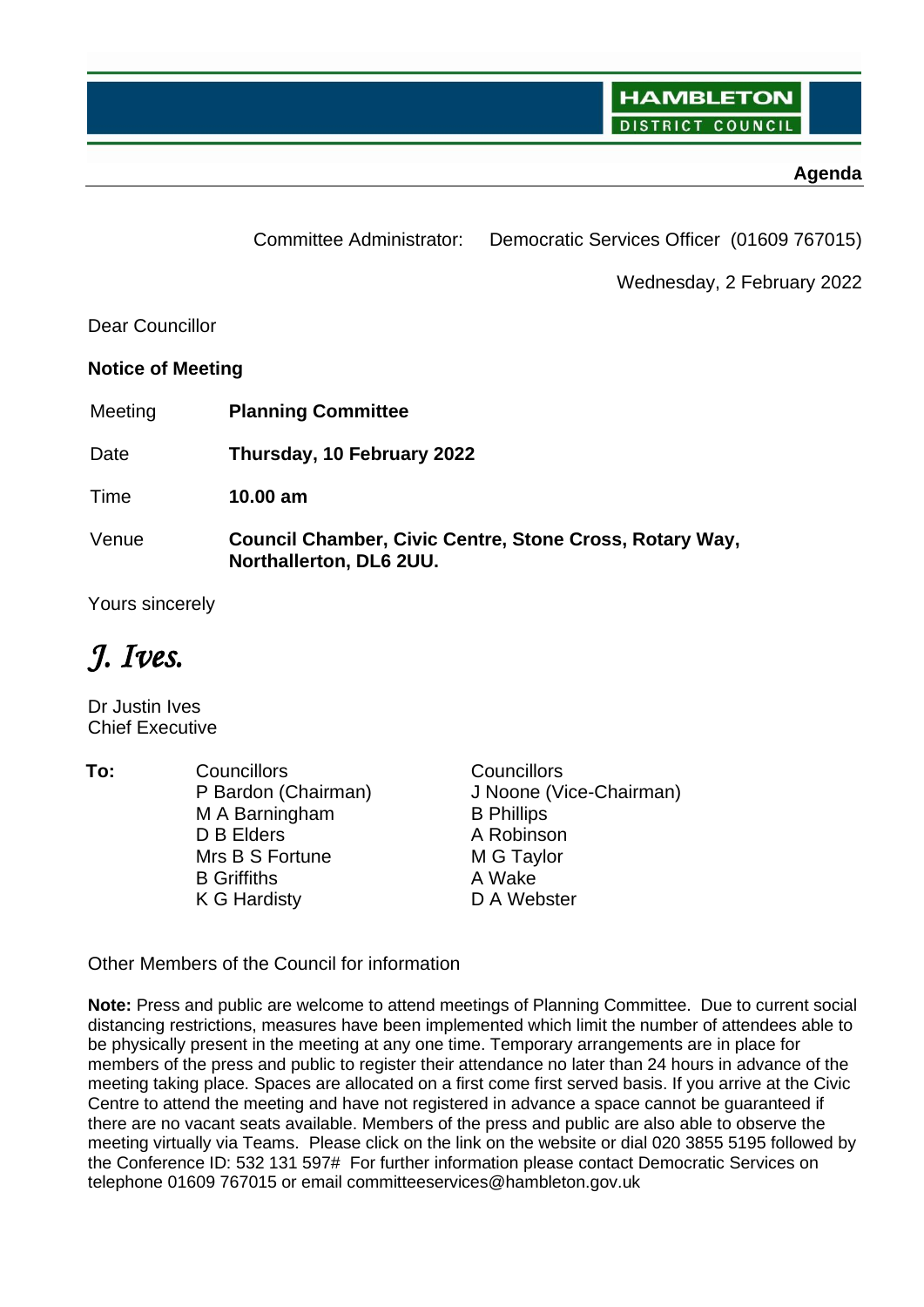**HAMBLETON DISTRICT** COUNCI

## **Agenda**

Committee Administrator: Democratic Services Officer (01609 767015)

Wednesday, 2 February 2022

Dear Councillor

**Notice of Meeting**

Meeting **Planning Committee**

Date **Thursday, 10 February 2022**

Time **10.00 am**

Venue **Council Chamber, Civic Centre, Stone Cross, Rotary Way, Northallerton, DL6 2UU.** 

Yours sincerely

*J. Ives.*

Dr Justin Ives Chief Executive

**To:** Councillors **Councillors** Councillors P Bardon (Chairman) M A Barningham D B Elders Mrs B S Fortune B Griffiths K G Hardisty J Noone (Vice-Chairman) B Phillips A Robinson M G Taylor A Wake D A Webster

Other Members of the Council for information

**Note:** Press and public are welcome to attend meetings of Planning Committee. Due to current social distancing restrictions, measures have been implemented which limit the number of attendees able to be physically present in the meeting at any one time. Temporary arrangements are in place for members of the press and public to register their attendance no later than 24 hours in advance of the meeting taking place. Spaces are allocated on a first come first served basis. If you arrive at the Civic Centre to attend the meeting and have not registered in advance a space cannot be guaranteed if there are no vacant seats available. Members of the press and public are also able to observe the meeting virtually via Teams. Please click on the link on the website or dial 020 3855 5195 followed by the Conference ID: 532 131 597# For further information please contact Democratic Services on telephone 01609 767015 or email committeeservices@hambleton.gov.uk